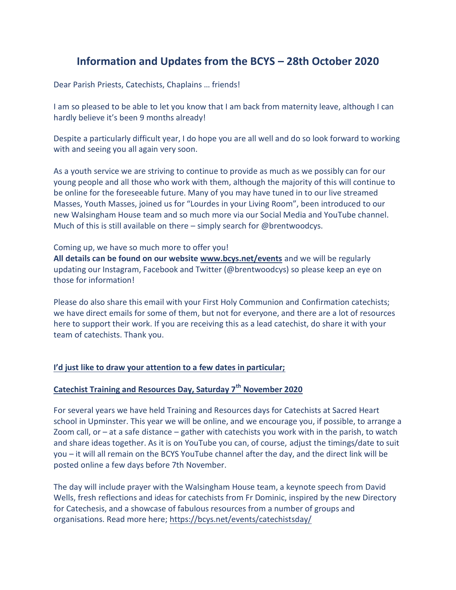# **Information and Updates from the BCYS – 28th October 2020**

Dear Parish Priests, Catechists, Chaplains … friends!

I am so pleased to be able to let you know that I am back from maternity leave, although I can hardly believe it's been 9 months already!

Despite a particularly difficult year, I do hope you are all well and do so look forward to working with and seeing you all again very soon.

As a youth service we are striving to continue to provide as much as we possibly can for our young people and all those who work with them, although the majority of this will continue to be online for the foreseeable future. Many of you may have tuned in to our live streamed Masses, Youth Masses, joined us for "Lourdes in your Living Room", been introduced to our new Walsingham House team and so much more via our Social Media and YouTube channel. Much of this is still available on there – simply search for @brentwoodcys.

### Coming up, we have so much more to offer you!

**All details can be found on our website [www.bcys.net/events](http://www.bcys.net/events)** and we will be regularly updating our Instagram, Facebook and Twitter (@brentwoodcys) so please keep an eye on those for information!

Please do also share this email with your First Holy Communion and Confirmation catechists; we have direct emails for some of them, but not for everyone, and there are a lot of resources here to support their work. If you are receiving this as a lead catechist, do share it with your team of catechists. Thank you.

### **I'd just like to draw your attention to a few dates in particular;**

# **Catechist Training and Resources Day, Saturday 7th November 2020**

For several years we have held Training and Resources days for Catechists at Sacred Heart school in Upminster. This year we will be online, and we encourage you, if possible, to arrange a Zoom call, or  $-$  at a safe distance  $-$  gather with catechists you work with in the parish, to watch and share ideas together. As it is on YouTube you can, of course, adjust the timings/date to suit you – it will all remain on the BCYS YouTube channel after the day, and the direct link will be posted online a few days before 7th November.

The day will include prayer with the Walsingham House team, a keynote speech from David Wells, fresh reflections and ideas for catechists from Fr Dominic, inspired by the new Directory for Catechesis, and a showcase of fabulous resources from a number of groups and organisations. Read more here[; https://bcys.net/events/catechistsday/](https://bcys.net/events/catechistsday/)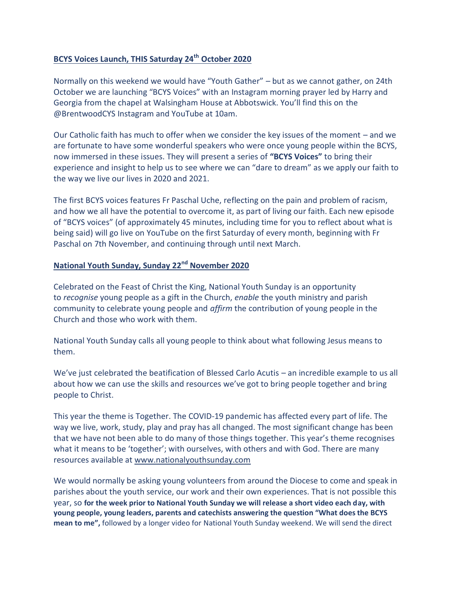### **BCYS Voices Launch, THIS Saturday 24th October 2020**

Normally on this weekend we would have "Youth Gather" – but as we cannot gather, on 24th October we are launching "BCYS Voices" with an Instagram morning prayer led by Harry and Georgia from the chapel at Walsingham House at Abbotswick. You'll find this on the @BrentwoodCYS Instagram and YouTube at 10am.

Our Catholic faith has much to offer when we consider the key issues of the moment – and we are fortunate to have some wonderful speakers who were once young people within the BCYS, now immersed in these issues. They will present a series of **"BCYS Voices"** to bring their experience and insight to help us to see where we can "dare to dream" as we apply our faith to the way we live our lives in 2020 and 2021.

The first BCYS voices features Fr Paschal Uche, reflecting on the pain and problem of racism, and how we all have the potential to overcome it, as part of living our faith. Each new episode of "BCYS voices" (of approximately 45 minutes, including time for you to reflect about what is being said) will go live on YouTube on the first Saturday of every month, beginning with Fr Paschal on 7th November, and continuing through until next March.

# **National Youth Sunday, Sunday 22nd November 2020**

Celebrated on the Feast of Christ the King, National Youth Sunday is an opportunity to *recognise* young people as a gift in the Church, *enable* the youth ministry and parish community to celebrate young people and *affirm* the contribution of young people in the Church and those who work with them.

National Youth Sunday calls all young people to think about what following Jesus means to them.

We've just celebrated the beatification of Blessed Carlo Acutis – an incredible example to us all about how we can use the skills and resources we've got to bring people together and bring people to Christ.

This year the theme is Together. The COVID-19 pandemic has affected every part of life. The way we live, work, study, play and pray has all changed. The most significant change has been that we have not been able to do many of those things together. This year's theme recognises what it means to be 'together'; with ourselves, with others and with God. There are many resources available at [www.nationalyouthsunday.com](http://www.nationalyouthsunday.com/)

We would normally be asking young volunteers from around the Diocese to come and speak in parishes about the youth service, our work and their own experiences. That is not possible this year, so **for the week prior to National Youth Sunday we will release a short video each day, with young people, young leaders, parents and catechists answering the question "What does the BCYS mean to me",** followed by a longer video for National Youth Sunday weekend. We will send the direct